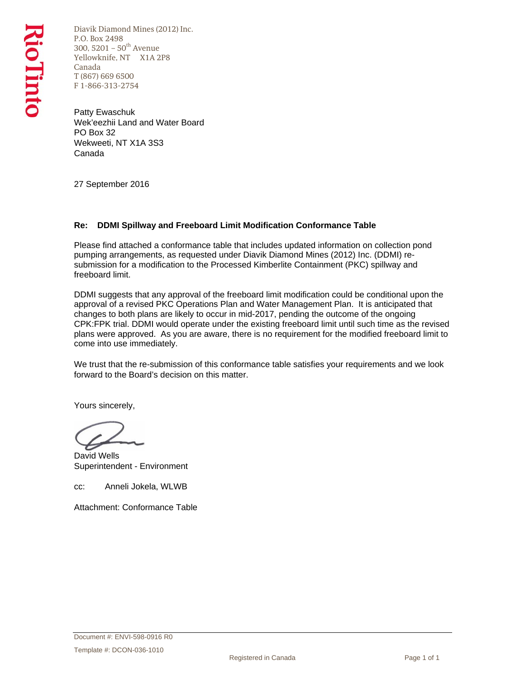Diavik Diamond Mines (2012) Inc. P.O. Box 2498 300, 5201 –  $50^{th}$  Avenue Yellowknife, NT X1A 2P8 Canada T (867) 669 6500 F 1-866-313-2754

Patty Ewaschuk Wek'eezhii Land and Water Board PO Box 32 Wekweeti, NT X1A 3S3 Canada

27 September 2016

## **Re: DDMI Spillway and Freeboard Limit Modification Conformance Table**

Please find attached a conformance table that includes updated information on collection pond pumping arrangements, as requested under Diavik Diamond Mines (2012) Inc. (DDMI) resubmission for a modification to the Processed Kimberlite Containment (PKC) spillway and freeboard limit.

DDMI suggests that any approval of the freeboard limit modification could be conditional upon the approval of a revised PKC Operations Plan and Water Management Plan. It is anticipated that changes to both plans are likely to occur in mid-2017, pending the outcome of the ongoing CPK:FPK trial. DDMI would operate under the existing freeboard limit until such time as the revised plans were approved. As you are aware, there is no requirement for the modified freeboard limit to come into use immediately.

We trust that the re-submission of this conformance table satisfies your requirements and we look forward to the Board's decision on this matter.

Yours sincerely,

David Wells Superintendent - Environment

cc: Anneli Jokela, WLWB

Attachment: Conformance Table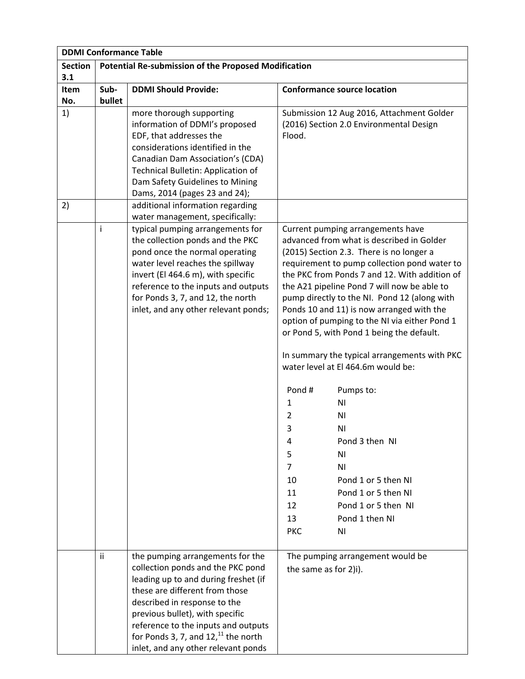|                |        | <b>DDMI Conformance Table</b>                                          |                                                                                               |
|----------------|--------|------------------------------------------------------------------------|-----------------------------------------------------------------------------------------------|
| <b>Section</b> |        | <b>Potential Re-submission of the Proposed Modification</b>            |                                                                                               |
| 3.1            |        |                                                                        |                                                                                               |
| Item           | Sub-   | <b>DDMI Should Provide:</b>                                            | <b>Conformance source location</b>                                                            |
| No.            | bullet |                                                                        |                                                                                               |
| 1)             |        | more thorough supporting<br>information of DDMI's proposed             | Submission 12 Aug 2016, Attachment Golder<br>(2016) Section 2.0 Environmental Design          |
|                |        | EDF, that addresses the                                                | Flood.                                                                                        |
|                |        | considerations identified in the                                       |                                                                                               |
|                |        | Canadian Dam Association's (CDA)                                       |                                                                                               |
|                |        | Technical Bulletin: Application of                                     |                                                                                               |
|                |        | Dam Safety Guidelines to Mining                                        |                                                                                               |
|                |        | Dams, 2014 (pages 23 and 24);                                          |                                                                                               |
| 2)             |        | additional information regarding                                       |                                                                                               |
|                |        | water management, specifically:                                        |                                                                                               |
|                | İ      | typical pumping arrangements for                                       | Current pumping arrangements have                                                             |
|                |        | the collection ponds and the PKC                                       | advanced from what is described in Golder                                                     |
|                |        | pond once the normal operating                                         | (2015) Section 2.3. There is no longer a                                                      |
|                |        | water level reaches the spillway<br>invert (El 464.6 m), with specific | requirement to pump collection pond water to<br>the PKC from Ponds 7 and 12. With addition of |
|                |        | reference to the inputs and outputs                                    | the A21 pipeline Pond 7 will now be able to                                                   |
|                |        | for Ponds 3, 7, and 12, the north                                      | pump directly to the NI. Pond 12 (along with                                                  |
|                |        | inlet, and any other relevant ponds;                                   | Ponds 10 and 11) is now arranged with the                                                     |
|                |        |                                                                        | option of pumping to the NI via either Pond 1                                                 |
|                |        |                                                                        | or Pond 5, with Pond 1 being the default.                                                     |
|                |        |                                                                        |                                                                                               |
|                |        |                                                                        | In summary the typical arrangements with PKC                                                  |
|                |        |                                                                        | water level at El 464.6m would be:                                                            |
|                |        |                                                                        | Pond#<br>Pumps to:                                                                            |
|                |        |                                                                        | ΝI<br>1                                                                                       |
|                |        |                                                                        | 2<br>ΝI                                                                                       |
|                |        |                                                                        | 3<br>ΝI                                                                                       |
|                |        |                                                                        | Pond 3 then NI<br>4                                                                           |
|                |        |                                                                        | 5<br>ΝI                                                                                       |
|                |        |                                                                        | $\overline{7}$<br>N <sub>1</sub>                                                              |
|                |        |                                                                        | Pond 1 or 5 then NI<br>10                                                                     |
|                |        |                                                                        | Pond 1 or 5 then NI<br>11                                                                     |
|                |        |                                                                        | Pond 1 or 5 then NI<br>12                                                                     |
|                |        |                                                                        | Pond 1 then NI<br>13                                                                          |
|                |        |                                                                        | <b>PKC</b><br>ΝI                                                                              |
|                | ii     | the pumping arrangements for the                                       | The pumping arrangement would be                                                              |
|                |        | collection ponds and the PKC pond                                      |                                                                                               |
|                |        | leading up to and during freshet (if                                   | the same as for 2)i).                                                                         |
|                |        | these are different from those                                         |                                                                                               |
|                |        | described in response to the                                           |                                                                                               |
|                |        | previous bullet), with specific                                        |                                                                                               |
|                |        | reference to the inputs and outputs                                    |                                                                                               |
|                |        | for Ponds 3, 7, and $1211$ the north                                   |                                                                                               |
|                |        | inlet, and any other relevant ponds                                    |                                                                                               |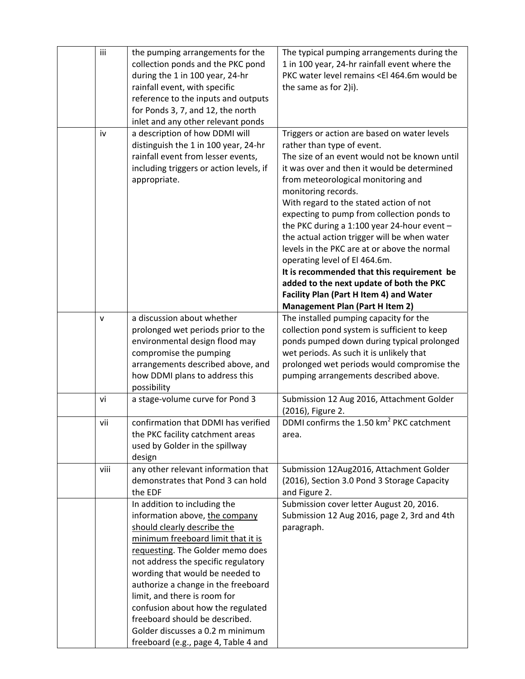| iii          | the pumping arrangements for the<br>collection ponds and the PKC pond<br>during the 1 in 100 year, 24-hr<br>rainfall event, with specific<br>reference to the inputs and outputs<br>for Ponds 3, 7, and 12, the north<br>inlet and any other relevant ponds                                                                                                                                                                                                                 | The typical pumping arrangements during the<br>1 in 100 year, 24-hr rainfall event where the<br>PKC water level remains <el 464.6m="" be<br="" would="">the same as for 2)i).</el>                                                                                                                                                                                                                                                                                                                                                                                                                                                                                                                |
|--------------|-----------------------------------------------------------------------------------------------------------------------------------------------------------------------------------------------------------------------------------------------------------------------------------------------------------------------------------------------------------------------------------------------------------------------------------------------------------------------------|---------------------------------------------------------------------------------------------------------------------------------------------------------------------------------------------------------------------------------------------------------------------------------------------------------------------------------------------------------------------------------------------------------------------------------------------------------------------------------------------------------------------------------------------------------------------------------------------------------------------------------------------------------------------------------------------------|
| iv           | a description of how DDMI will<br>distinguish the 1 in 100 year, 24-hr<br>rainfall event from lesser events,<br>including triggers or action levels, if<br>appropriate.                                                                                                                                                                                                                                                                                                     | Triggers or action are based on water levels<br>rather than type of event.<br>The size of an event would not be known until<br>it was over and then it would be determined<br>from meteorological monitoring and<br>monitoring records.<br>With regard to the stated action of not<br>expecting to pump from collection ponds to<br>the PKC during a 1:100 year 24-hour event $-$<br>the actual action trigger will be when water<br>levels in the PKC are at or above the normal<br>operating level of El 464.6m.<br>It is recommended that this requirement be<br>added to the next update of both the PKC<br>Facility Plan (Part H Item 4) and Water<br><b>Management Plan (Part H Item 2)</b> |
| $\mathsf{V}$ | a discussion about whether<br>prolonged wet periods prior to the<br>environmental design flood may<br>compromise the pumping<br>arrangements described above, and<br>how DDMI plans to address this<br>possibility                                                                                                                                                                                                                                                          | The installed pumping capacity for the<br>collection pond system is sufficient to keep<br>ponds pumped down during typical prolonged<br>wet periods. As such it is unlikely that<br>prolonged wet periods would compromise the<br>pumping arrangements described above.                                                                                                                                                                                                                                                                                                                                                                                                                           |
| vi           | a stage-volume curve for Pond 3                                                                                                                                                                                                                                                                                                                                                                                                                                             | Submission 12 Aug 2016, Attachment Golder<br>(2016), Figure 2.                                                                                                                                                                                                                                                                                                                                                                                                                                                                                                                                                                                                                                    |
| vii          | confirmation that DDMI has verified<br>the PKC facility catchment areas<br>used by Golder in the spillway<br>design                                                                                                                                                                                                                                                                                                                                                         | DDMI confirms the 1.50 km <sup>2</sup> PKC catchment<br>area.                                                                                                                                                                                                                                                                                                                                                                                                                                                                                                                                                                                                                                     |
| viii         | any other relevant information that<br>demonstrates that Pond 3 can hold<br>the EDF                                                                                                                                                                                                                                                                                                                                                                                         | Submission 12Aug2016, Attachment Golder<br>(2016), Section 3.0 Pond 3 Storage Capacity<br>and Figure 2.                                                                                                                                                                                                                                                                                                                                                                                                                                                                                                                                                                                           |
|              | In addition to including the<br>information above, the company<br>should clearly describe the<br>minimum freeboard limit that it is<br>requesting. The Golder memo does<br>not address the specific regulatory<br>wording that would be needed to<br>authorize a change in the freeboard<br>limit, and there is room for<br>confusion about how the regulated<br>freeboard should be described.<br>Golder discusses a 0.2 m minimum<br>freeboard (e.g., page 4, Table 4 and | Submission cover letter August 20, 2016.<br>Submission 12 Aug 2016, page 2, 3rd and 4th<br>paragraph.                                                                                                                                                                                                                                                                                                                                                                                                                                                                                                                                                                                             |